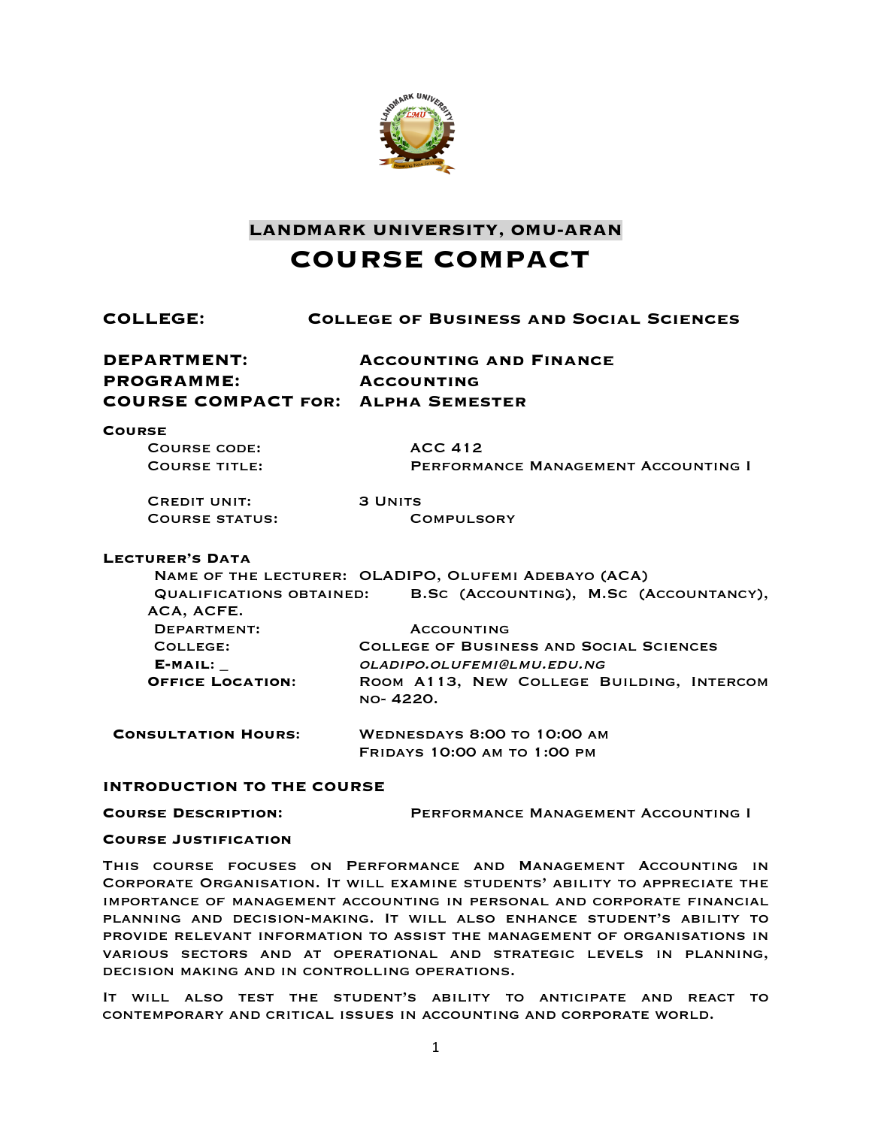

**LANDMARK UNIVERSITY, OMU-ARAN COURSE COMPACT**

| COLLEGE:                                                                      | <b>COLLEGE OF BUSINESS AND SOCIAL SCIENCES</b>                                                                                                             |  |  |
|-------------------------------------------------------------------------------|------------------------------------------------------------------------------------------------------------------------------------------------------------|--|--|
| DEPARTMENT:<br><b>PROGRAMME:</b><br><b>COURSE COMPACT FOR: ALPHA SEMESTER</b> | <b>ACCOUNTING AND FINANCE</b><br><b>ACCOUNTING</b>                                                                                                         |  |  |
| <b>COURSE</b><br><b>COURSE CODE:</b><br><b>COURSE TITLE:</b>                  | <b>ACC 412</b><br>PERFORMANCE MANAGEMENT ACCOUNTING I                                                                                                      |  |  |
| <b>CREDIT UNIT:</b><br>COURSE STATUS:                                         | <b>3 UNITS</b><br><b>COMPULSORY</b>                                                                                                                        |  |  |
| <b>LECTURER'S DATA</b><br><b>QUALIFICATIONS OBTAINED:</b><br>ACA, ACFE.       | NAME OF THE LECTURER: OLADIPO, OLUFEMI ADEBAYO (ACA)<br>B.SC (ACCOUNTING), M.SC (ACCOUNTANCY),                                                             |  |  |
| DEPARTMENT:<br>COLLEGE:<br>E-MAIL:<br><b>OFFICE LOCATION:</b>                 | <b>ACCOUNTING</b><br><b>COLLEGE OF BUSINESS AND SOCIAL SCIENCES</b><br>OLADIPO.OLUFEMI@LMU.EDU.NG<br>ROOM A113, NEW COLLEGE BUILDING, INTERCOM<br>NO-4220. |  |  |
| <b>CONSULTATION HOURS:</b>                                                    | <b>WEDNESDAYS 8:00 TO 10:00 AM</b><br><b>FRIDAYS 10:00 AM TO 1:00 PM</b>                                                                                   |  |  |

### **INTRODUCTION TO THE COURSE**

**Course Description:** Performance Management Accounting I

#### **Course Justification**

This course focuses on Performance and Management Accounting in Corporate Organisation. It will examine students' ability to appreciate the importance of management accounting in personal and corporate financial planning and decision-making. It will also enhance student's ability to provide relevant information to assist the management of organisations in various sectors and at operational and strategic levels in planning, decision making and in controlling operations.

It will also test the student's ability to anticipate and react to contemporary and critical issues in accounting and corporate world.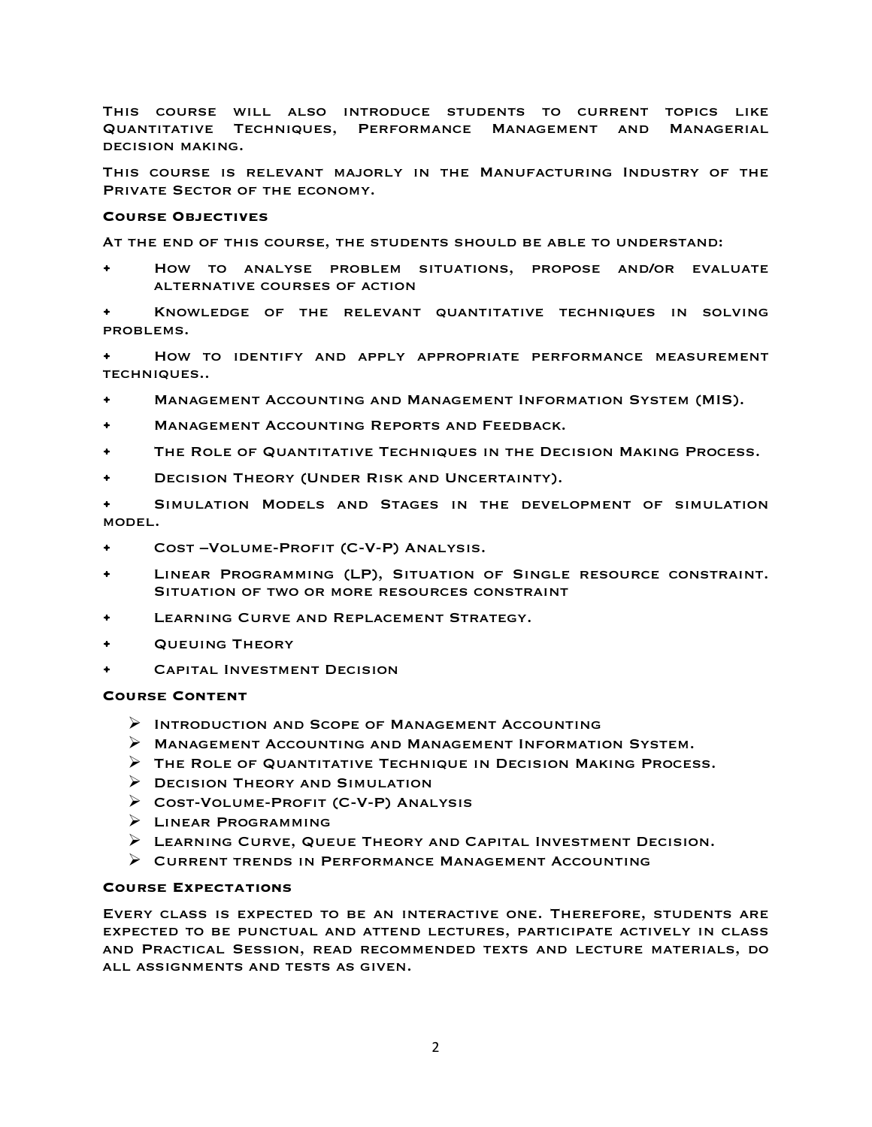This course will also introduce students to current topics like Quantitative Techniques, Performance Management and Managerial decision making.

This course is relevant majorly in the Manufacturing Industry of the PRIVATE SECTOR OF THE ECONOMY.

### **Course Objectives**

At the end of this course, the students should be able to understand:

• How to analyse problem situations, propose and/or evaluate alternative courses of action

• Knowledge of the relevant quantitative techniques in solving problems.

• How to identify and apply appropriate performance measurement techniques..

- Management Accounting and Management Information System (MIS).
- Management Accounting Reports and Feedback.
- The Role of Quantitative Techniques in the Decision Making Process.
- Decision Theory (Under Risk and Uncertainty).

• Simulation Models and Stages in the development of simulation model.

- Cost –Volume-Profit (C-V-P) Analysis.
- Linear Programming (LP), Situation of Single resource constraint. SITUATION OF TWO OR MORE RESOURCES CONSTRAINT
- LEARNING CURVE AND REPLACEMENT STRATEGY.
- Queuing Theory
- Capital Investment Decision

### **Course Content**

- $\triangleright$  Introduction and Scope of Management Accounting
- $\triangleright$  Management Accounting and Management Information System.
- $\triangleright$  The Role of Quantitative Technique in Decision Making Process.
- $\triangleright$  DECISION THEORY AND SIMULATION
- $\triangleright$  COST-VOLUME-PROFIT (C-V-P) ANALYSIS
- Ø Linear Programming
- $\triangleright$  LEARNING CURVE, QUEUE THEORY AND CAPITAL INVESTMENT DECISION.
- $\triangleright$  CURRENT TRENDS IN PERFORMANCE MANAGEMENT ACCOUNTING

### **Course Expectations**

Every class is expected to be an interactive one. Therefore, students are expected to be punctual and attend lectures, participate actively in class and Practical Session, read recommended texts and lecture materials, do all assignments and tests as given.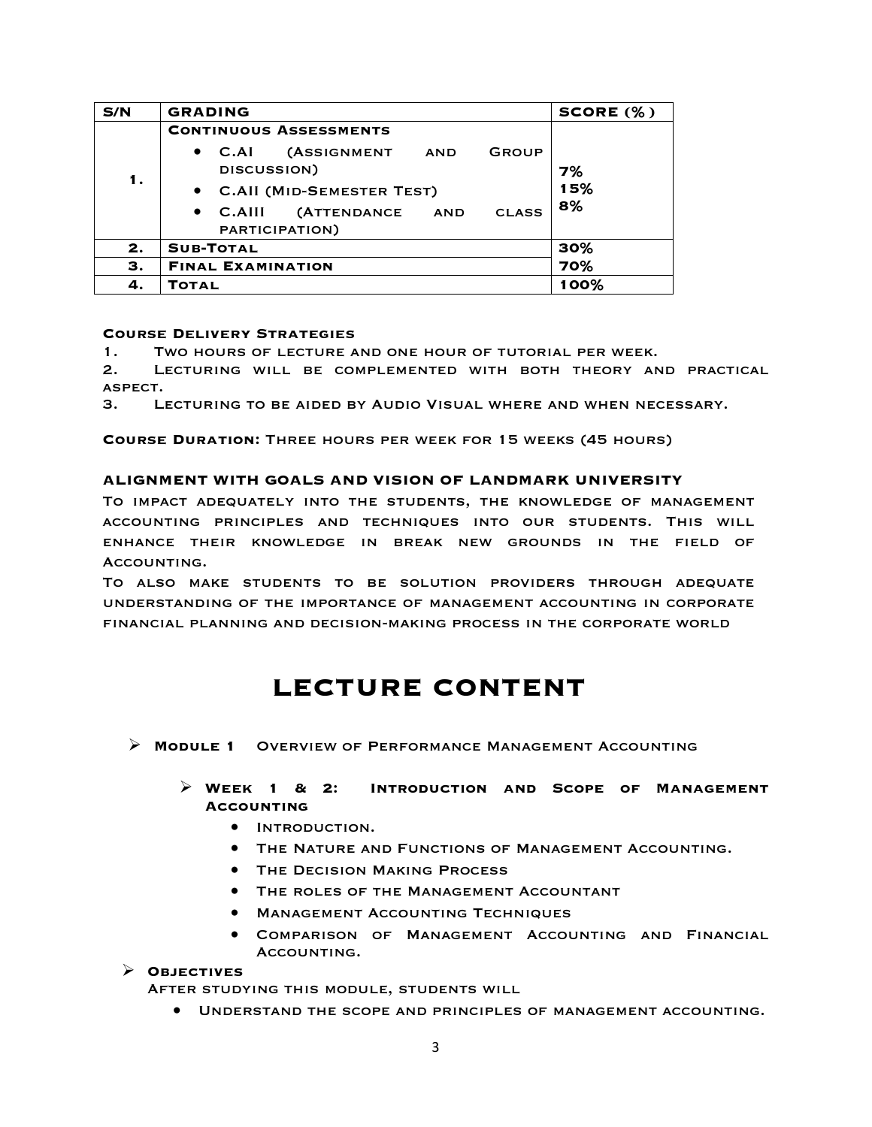| S/N | <b>GRADING</b>                                                        | SCORE (%) |
|-----|-----------------------------------------------------------------------|-----------|
|     | <b>CONTINUOUS ASSESSMENTS</b>                                         |           |
| 1.  | (ASSIGNMENT AND<br>$\bullet$ C.AI<br><b>GROUP</b><br>DISCUSSION)      | 7%<br>15% |
|     | • C.All (MID-SEMESTER TEST)                                           |           |
|     | (ATTENDANCE AND<br><b>CLASS</b><br>$\bullet$ C.AIII<br>PARTICIPATION) | 8%        |
| 2.  | <b>SUB-TOTAL</b>                                                      | 30%       |
| З.  | <b>FINAL EXAMINATION</b>                                              | 70%       |
| 4.  | TOTAL                                                                 | 100%      |

### **Course Delivery Strategies**

1. Two hours of lecture and one hour of tutorial per week.

2. Lecturing will be complemented with both theory and practical aspect.

3. Lecturing to be aided by Audio Visual where and when necessary.

**Course Duration:** Three hours per week for 15 weeks (45 hours)

### **ALIGNMENT WITH GOALS AND VISION OF LANDMARK UNIVERSITY**

To impact adequately into the students, the knowledge of management accounting principles and techniques into our students. This will enhance their knowledge in break new grounds in the field of ACCOUNTING.

To also make students to be solution providers through adequate understanding of the importance of management accounting in corporate financial planning and decision-making process in the corporate world

# **LECTURE CONTENT**

- Ø **Module 1** Overview of Performance Management Accounting
	- Ø **Week 1 & 2: Introduction and Scope of Management Accounting**
		- Introduction.
		- THE NATURE AND FUNCTIONS OF MANAGEMENT ACCOUNTING.
		- **THE DECISION MAKING PROCESS**
		- The roles of the Management Accountant
		- **MANAGEMENT ACCOUNTING TECHNIQUES**
		- Comparison of Management Accounting and Financial ACCOUNTING.

### Ø **Objectives**

After studying this module, students will

• Understand the scope and principles of management accounting.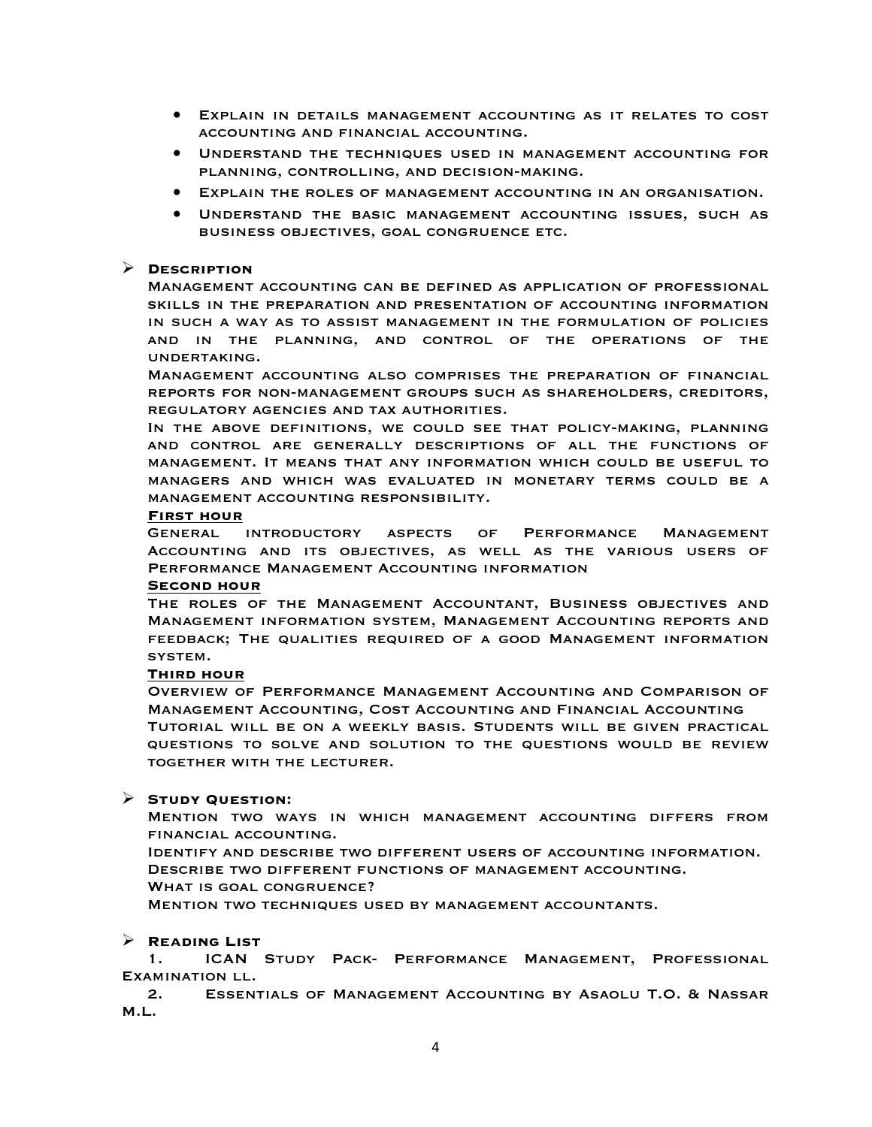- Explain in details management accounting as it relates to cost accounting and financial accounting.
- Understand the techniques used in management accounting for planning, controlling, and decision-making.
- Explain the roles of management accounting in an organisation.
- Understand the basic management accounting issues, such as business objectives, goal congruence etc.

### Ø **Description**

Management accounting can be defined as application of professional skills in the preparation and presentation of accounting information in such a way as to assist management in the formulation of policies and in the planning, and control of the operations of the undertaking.

Management accounting also comprises the preparation of financial reports for non-management groups such as shareholders, creditors, regulatory agencies and tax authorities.

In the above definitions, we could see that policy-making, planning and control are generally descriptions of all the functions of management. It means that any information which could be useful to managers and which was evaluated in monetary terms could be a management accounting responsibility.

#### **First hour**

General introductory aspects of Performance Management Accounting and its objectives, as well as the various users of Performance Management Accounting information

#### **Second hour**

The roles of the Management Accountant, Business objectives and Management information system, Management Accounting reports and feedback; The qualities required of a good Management information system.

### **Third hour**

Overview of Performance Management Accounting and Comparison of Management Accounting, Cost Accounting and Financial Accounting Tutorial will be on a weekly basis. Students will be given practical questions to solve and solution to the questions would be review together with the lecturer.

### Ø **Study Question:**

Mention two ways in which management accounting differs from financial accounting.

Identify and describe two different users of accounting information. Describe two different functions of management accounting.

WHAT IS GOAL CONGRUENCE?

Mention two techniques used by management accountants.

### Ø **Reading List**

1. ICAN Study Pack- Performance Management, Professional Examination ll.

2. Essentials of Management Accounting by Asaolu T.O. & Nassar M.L.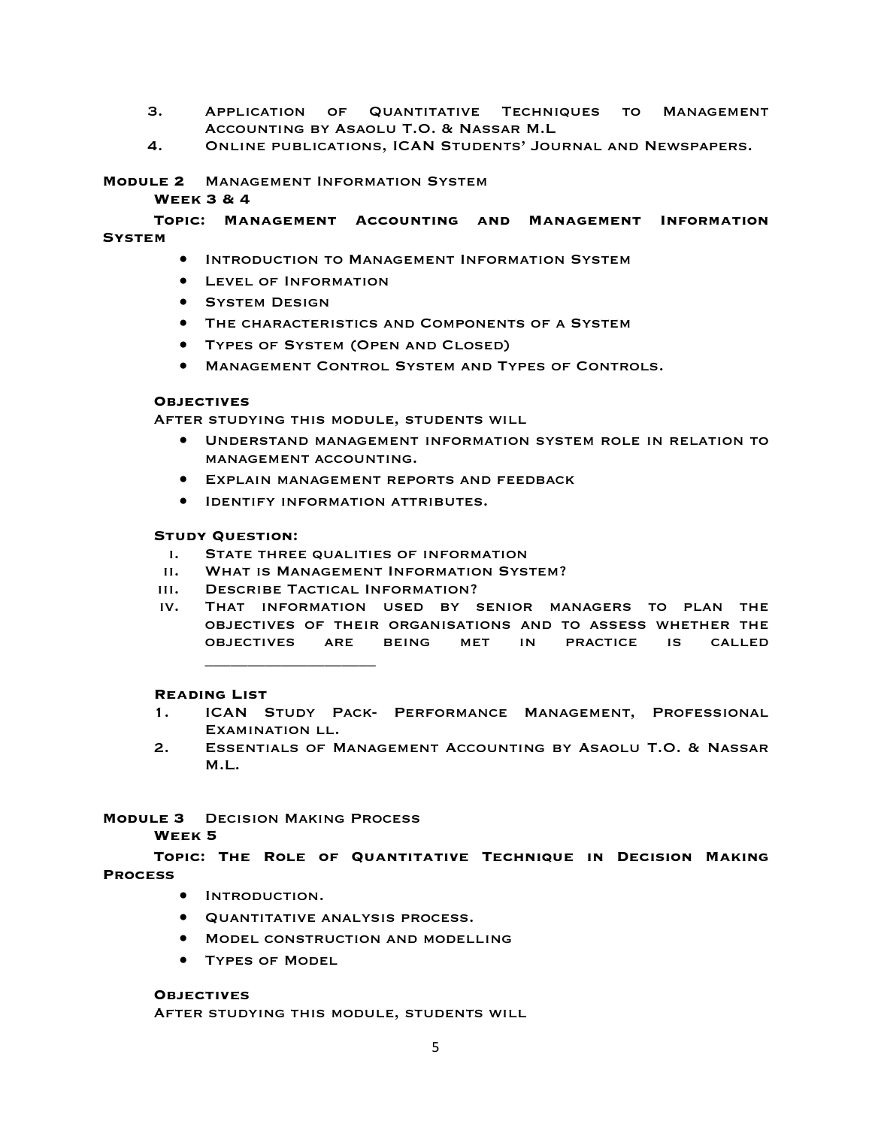- 3. Application of Quantitative Techniques to Management Accounting by Asaolu T.O. & Nassar M.L
- 4. Online publications, ICAN Students' Journal and Newspapers.

### **Module 2** Management Information System

### **Week 3 & 4**

**Topic: Management Accounting and Management Information System**

- Introduction to Management Information System
- Level of Information
- **SYSTEM DESIGN**
- The characteristics and Components of a System
- Types of System (Open and Closed)
- Management Control System and Types of Controls.

### **Objectives**

After studying this module, students will

- Understand management information system role in relation to management accounting.
- Explain management reports and feedback
- Identify information attributes.

### **Study Question:**

- i. State three qualities of information
- ii. What is Management Information System?
- iii. Describe Tactical Information?

\_\_\_\_\_\_\_\_\_\_\_\_\_\_\_\_\_\_\_\_

iv. That information used by senior managers to plan the objectives of their organisations and to assess whether the objectives are being met in practice is called

### **Reading List**

- 1. ICAN Study Pack- Performance Management, Professional Examination ll.
- 2. Essentials of Management Accounting by Asaolu T.O. & Nassar M.L.

### **Module 3** Decision Making Process

### **Week 5**

**Topic: The Role of Quantitative Technique in Decision Making Process**

- Introduction.
- Quantitative analysis process.
- Model construction and modelling
- Types of Model

### **Objectives**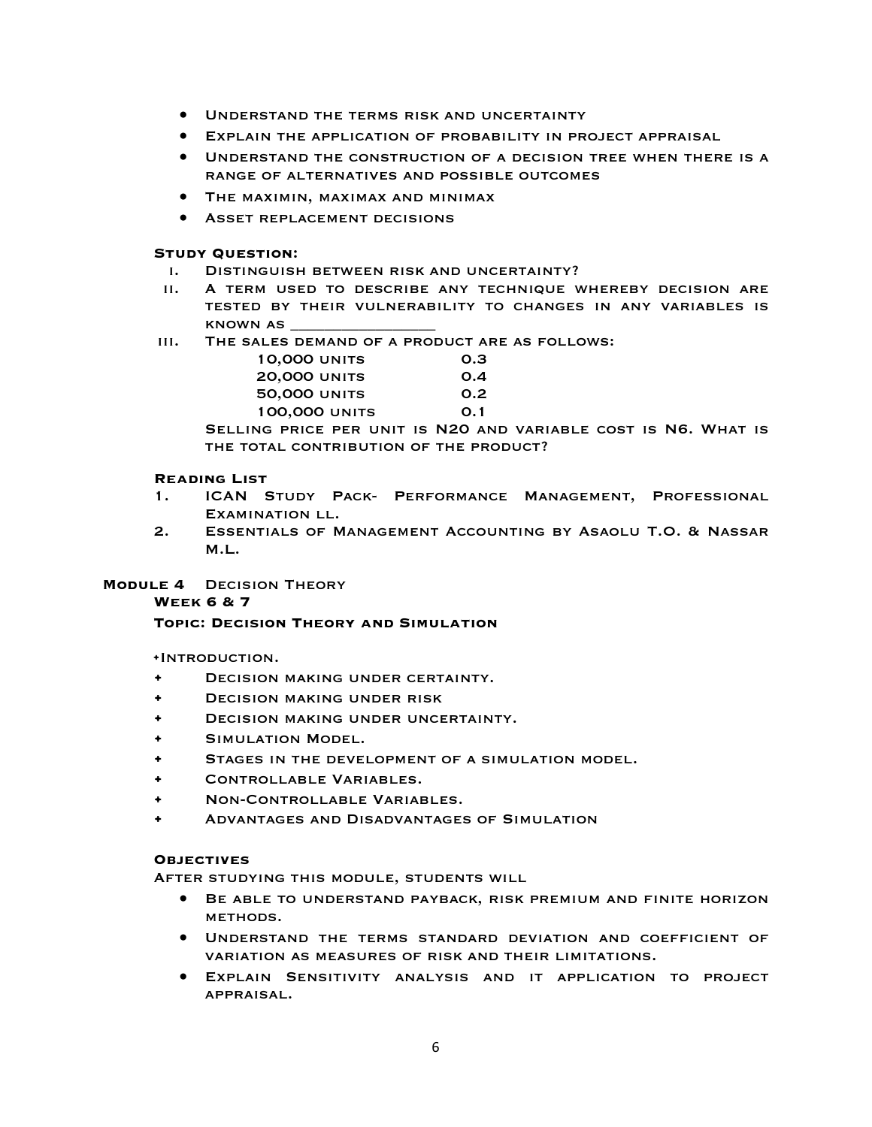- Understand the terms risk and uncertainty
- Explain the application of probability in project appraisal
- Understand the construction of a decision tree when there is a range of alternatives and possible outcomes
- The maximin, maximax and minimax
- Asset replacement decisions

- i. Distinguish between risk and uncertainty?
- ii. A term used to describe any technique whereby decision are tested by their vulnerability to changes in any variables is known as \_\_\_\_\_\_\_\_\_\_\_\_\_\_\_\_\_
- iii. The sales demand of a product are as follows:

| <b>10,000 UNITS</b>  | O.B  |
|----------------------|------|
| <b>20,000 UNITS</b>  | O.A  |
| <b>50,000 UNITS</b>  | O.2  |
| <b>100,000 UNITS</b> | O. 1 |

Selling price per unit is N20 and variable cost is N6. What is THE TOTAL CONTRIBUTION OF THE PRODUCT?

### **Reading List**

- 1. ICAN Study Pack- Performance Management, Professional Examination ll.
- 2. Essentials of Management Accounting by Asaolu T.O. & Nassar M.L.

### **Module 4** Decision Theory

### **Week 6 & 7**

### **Topic: Decision Theory and Simulation**

**•**Introduction.

- Decision making under certainty.
- Decision making under risk
- DECISION MAKING UNDER UNCERTAINTY.
- Simulation Model.
- Stages in the development of a simulation model.
- Controllable Variables.
- Non-Controllable Variables.
- Advantages and Disadvantages of Simulation

### **Objectives**

- Be able to understand payback, risk premium and finite horizon METHODS.
- Understand the terms standard deviation and coefficient of variation as measures of risk and their limitations.
- Explain Sensitivity analysis and it application to project appraisal.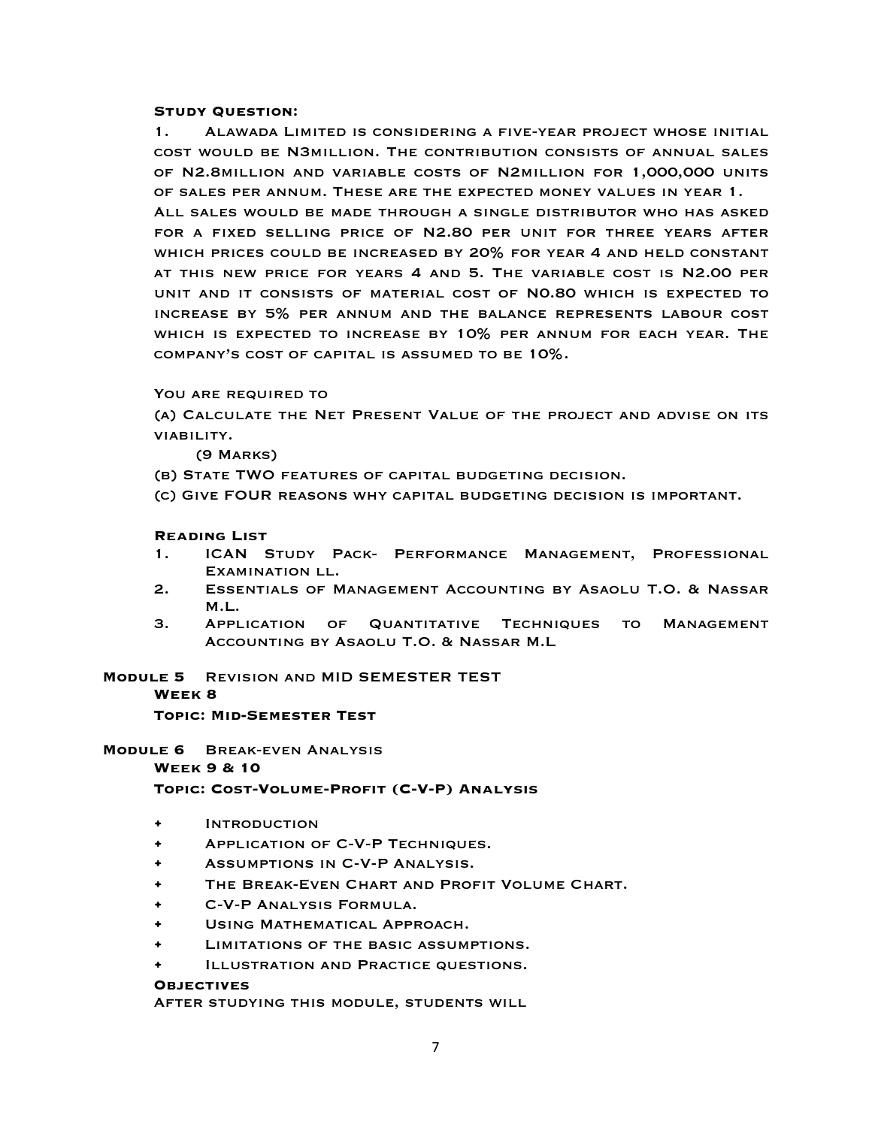1. Alawada Limited is considering a five-year project whose initial cost would be N3million. The contribution consists of annual sales of N2.8million and variable costs of N2million for 1,000,000 units of sales per annum. These are the expected money values in year 1. All sales would be made through a single distributor who has asked for a fixed selling price of N2.80 per unit for three years after which prices could be increased by 20% for year 4 and held constant at this new price for years 4 and 5. The variable cost is N2.00 per unit and it consists of material cost of N0.80 which is expected to increase by 5% per annum and the balance represents labour cost which is expected to increase by 10% per annum for each year. The company's cost of capital is assumed to be 10%.

### YOU ARE REQUIRED TO

(a) Calculate the Net Present Value of the project and advise on its viability.

(9 Marks)

- (b) State TWO features of capital budgeting decision.
- (c) Give FOUR reasons why capital budgeting decision is important.

#### **Reading List**

- 1. ICAN Study Pack- Performance Management, Professional Examination ll.
- 2. Essentials of Management Accounting by Asaolu T.O. & Nassar M.L.
- 3. Application of Quantitative Techniques to Management Accounting by Asaolu T.O. & Nassar M.L

### **Module 5** Revision and MID SEMESTER TEST **Week 8**

**Topic: Mid-Semester Test**

**Module 6** Break-even Analysis **Week 9 & 10 Topic: Cost-Volume-Profit (C-V-P) Analysis**

- Introduction
- Application of C-V-P Techniques.
- Assumptions in C-V-P Analysis.
- THE BREAK-EVEN CHART AND PROFIT VOLUME CHART.
- C-V-P Analysis Formula.
- USING MATHEMATICAL APPROACH.
- LIMITATIONS OF THE BASIC ASSUMPTIONS.
- ILLUSTRATION AND PRACTICE QUESTIONS.

#### **Objectives**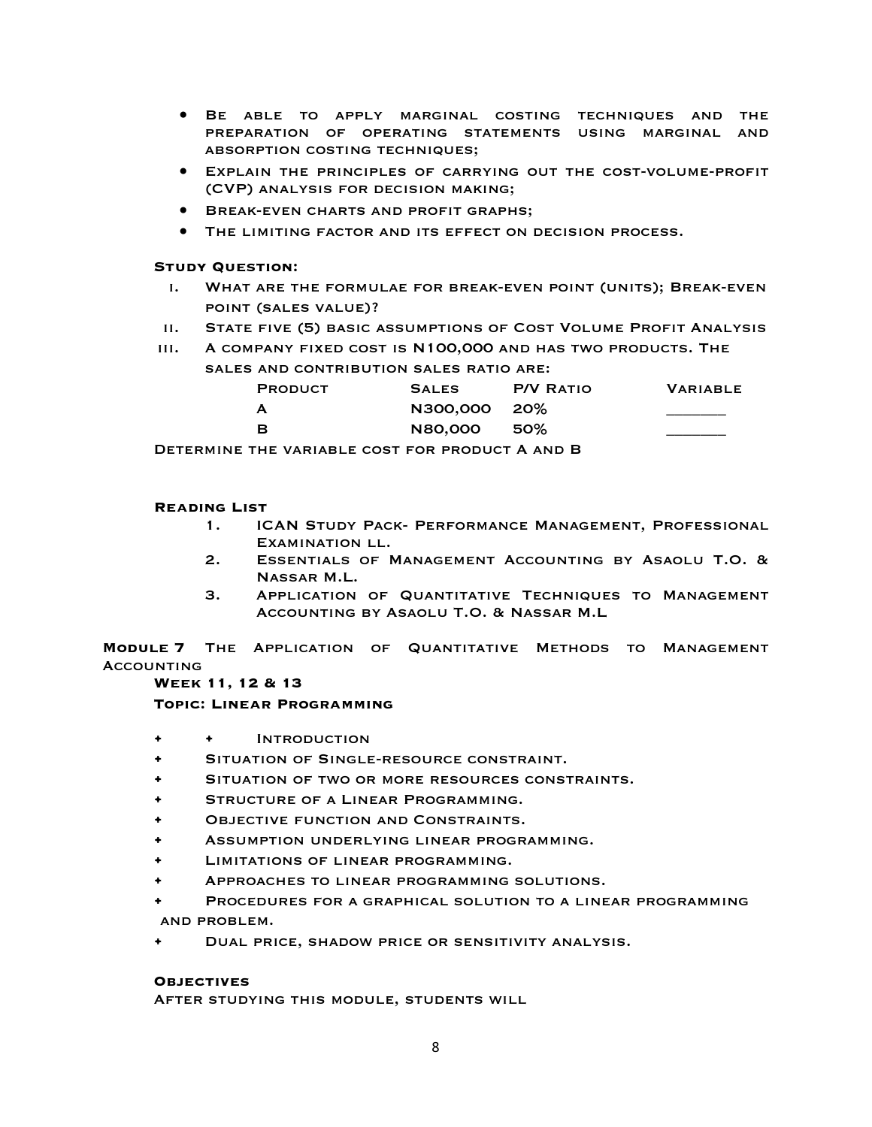- Be able to apply marginal costing techniques and the preparation of operating statements using marginal and absorption costing techniques;
- Explain the principles of carrying out the cost-volume-profit (CVP) analysis for decision making;
- BREAK-EVEN CHARTS AND PROFIT GRAPHS;
- The limiting factor and its effect on decision process.

- i. What are the formulae for break-even point (units); Break-even point (sales value)?
- ii. State five (5) basic assumptions of Cost Volume Profit Analysis
- iii. A company fixed cost is N100,000 and has two products. The sales and contribution sales ratio are:

| <b>PRODUCT</b> | <b>SALES</b> | <b>P/V RATIO</b> | <b>VARIABLE</b> |
|----------------|--------------|------------------|-----------------|
| A              | N300,000 20% |                  |                 |
| - в            | N80,000 50%  |                  |                 |

Determine the variable cost for product A and B

### **Reading List**

- 1. ICAN Study Pack- Performance Management, Professional Examination ll.
- 2. Essentials of Management Accounting by Asaolu T.O. & Nassar M.L.
- 3. Application of Quantitative Techniques to Management Accounting by Asaolu T.O. & Nassar M.L

**Module 7** The Application of Quantitative Methods to Management **ACCOUNTING** 

### **Week 11, 12 & 13**

**Topic: Linear Programming**

- • Introduction
- Situation of Single-resource constraint.
- SITUATION OF TWO OR MORE RESOURCES CONSTRAINTS.
- STRUCTURE OF A LINEAR PROGRAMMING.
- **OBJECTIVE FUNCTION AND CONSTRAINTS.**
- Assumption underlying linear programming.
- Limitations of linear programming.
- Approaches to linear programming solutions.
- Procedures for a graphical solution to a linear programming and problem.
- Dual price, shadow price or sensitivity analysis.

### **Objectives**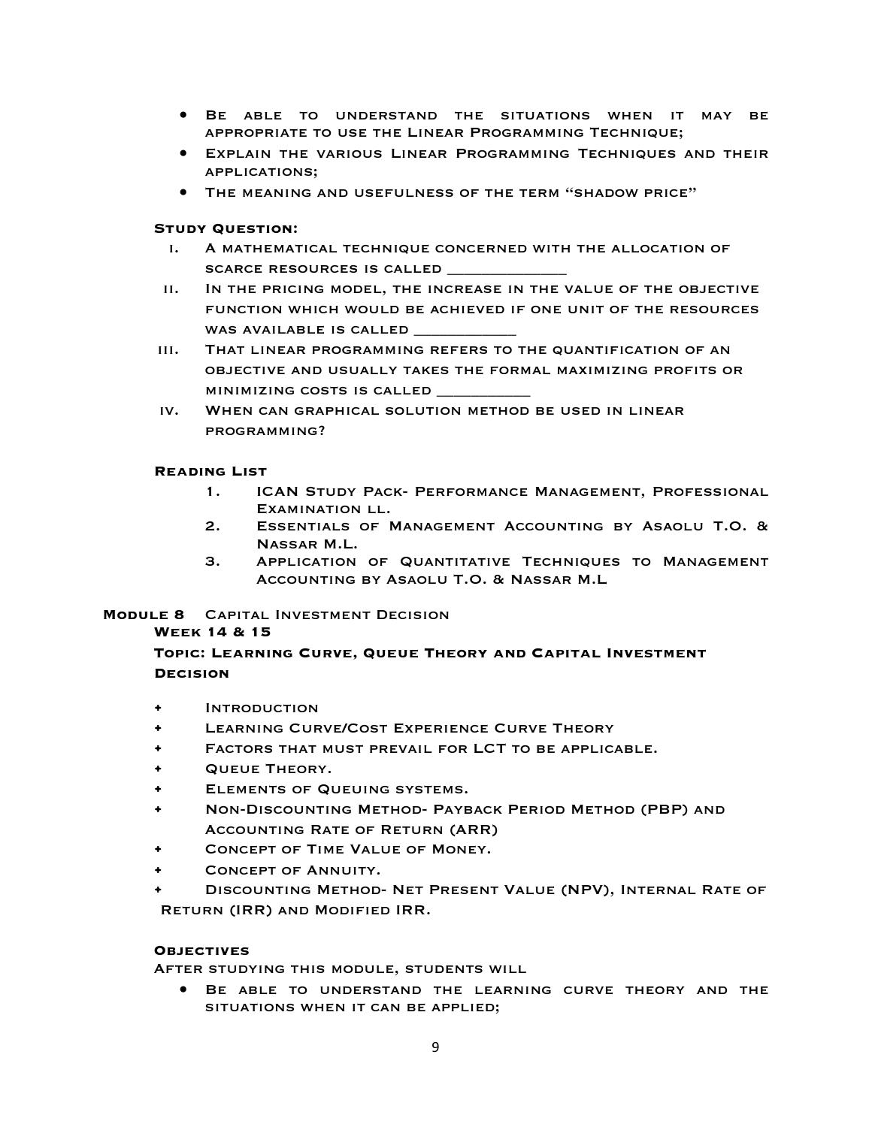- Be able to understand the situations when it may be appropriate to use the Linear Programming Technique;
- Explain the various Linear Programming Techniques and their applications;
- The meaning and usefulness of the term "shadow price"

- i. A mathematical technique concerned with the allocation of SCARCE RESOURCES IS CALLED
- ii. In the pricing model, the increase in the value of the objective function which would be achieved if one unit of the resources WAS AVAILABLE IS CALLED
- iii. That linear programming refers to the quantification of an objective and usually takes the formal maximizing profits or minimizing costs is called \_\_\_\_\_\_\_\_\_\_\_
- iv. When can graphical solution method be used in linear programming?

### **Reading List**

- 1. ICAN Study Pack- Performance Management, Professional Examination ll.
- 2. Essentials of Management Accounting by Asaolu T.O. & Nassar M.L.
- 3. Application of Quantitative Techniques to Management Accounting by Asaolu T.O. & Nassar M.L

## **Module 8** Capital Investment Decision

### **Week 14 & 15**

### **Topic: Learning Curve, Queue Theory and Capital Investment Decision**

- **INTRODUCTION**
- LEARNING CURVE/COST EXPERIENCE CURVE THEORY
- Factors that must prevail for LCT to be applicable.
- Queue Theory.
- Elements of Queuing systems.
- Non-Discounting Method- Payback Period Method (PBP) and Accounting Rate of Return (ARR)
- Concept of Time Value of Money.
- CONCEPT OF ANNUITY.
- Discounting Method- Net Present Value (NPV), Internal Rate of Return (IRR) and Modified IRR.

### **Objectives**

After studying this module, students will

• Be able to understand the learning curve theory and the situations when it can be applied;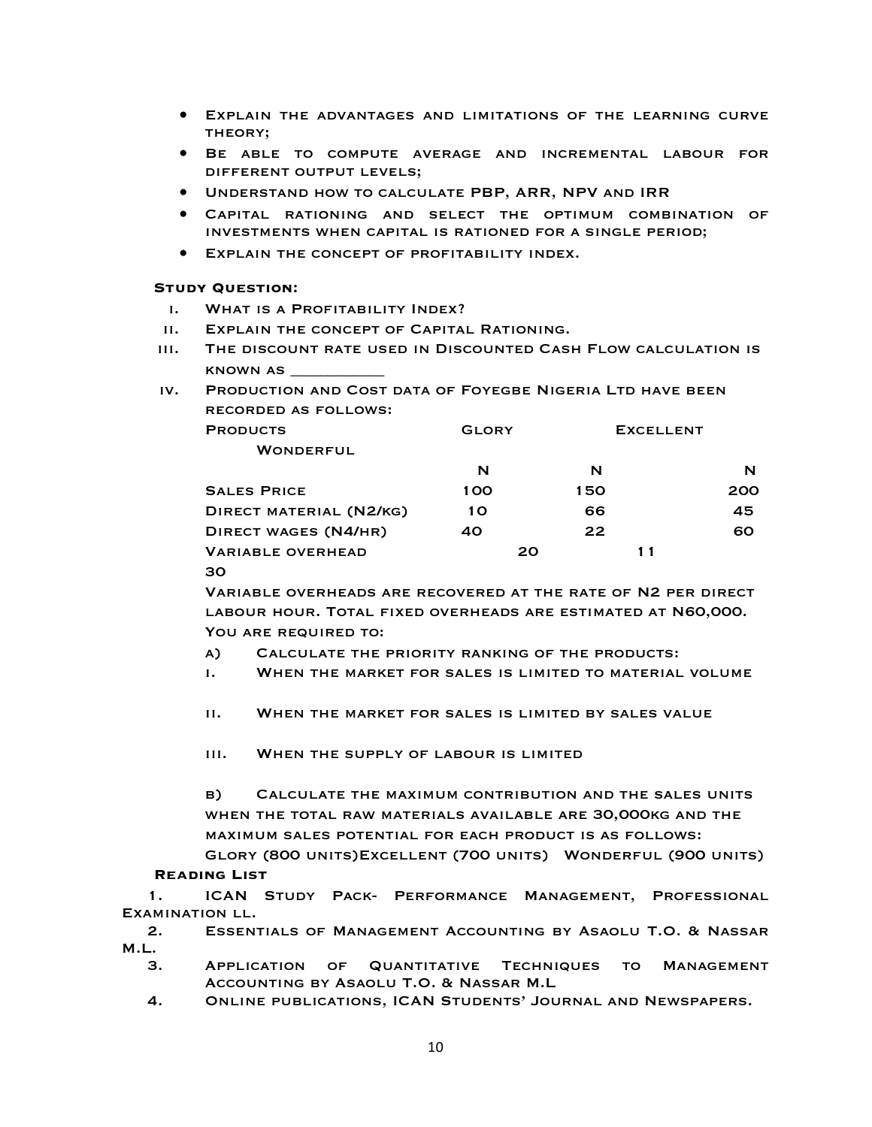- Explain the advantages and limitations of the learning curve theory;
- Be able to compute average and incremental labour for different output levels;
- Understand how to calculate PBP, ARR, NPV and IRR
- Capital rationing and select the optimum combination of investments when capital is rationed for a single period;
- Explain the concept of profitability index.

- i. What is a Profitability Index?
- ii. Explain the concept of Capital Rationing.
- iii. The discount rate used in Discounted Cash Flow calculation is known as \_\_\_\_\_\_\_\_\_\_\_
- iv. Production and Cost data of Foyegbe Nigeria Ltd have been recorded as follows:

| <b>PRODUCTS</b>          | <b>GLORY</b> |    |     | <b>EXCELLENT</b> |     |
|--------------------------|--------------|----|-----|------------------|-----|
| <b>WONDERFUL</b>         |              |    |     |                  |     |
|                          | N            |    | N   |                  | N   |
| <b>SALES PRICE</b>       | 100          |    | 150 |                  | 200 |
| DIRECT MATERIAL (N2/KG)  | 10           |    | 66  |                  | 45  |
| DIRECT WAGES (N4/HR)     | 40           |    | 22  |                  | 60  |
| <b>VARIABLE OVERHEAD</b> |              | 20 |     | 11               |     |

### 30

Variable overheads are recovered at the rate of N2 per direct labour hour. Total fixed overheads are estimated at N60,000. YOU ARE REQUIRED TO:

- a) Calculate the priority ranking of the products:
- i. When the market for sales is limited to material volume
- ii. When the market for sales is limited by sales value
- iii. When the supply of labour is limited

b) Calculate the maximum contribution and the sales units when the total raw materials available are 30,000kg and the maximum sales potential for each product is as follows:

Glory (800 units)Excellent (700 units) Wonderful (900 units) **Reading List** 

1. ICAN Study Pack- Performance Management, Professional Examination ll.

2. Essentials of Management Accounting by Asaolu T.O. & Nassar M.L.

- 3. Application of Quantitative Techniques to Management Accounting by Asaolu T.O. & Nassar M.L
- 4. Online publications, ICAN Students' Journal and Newspapers.